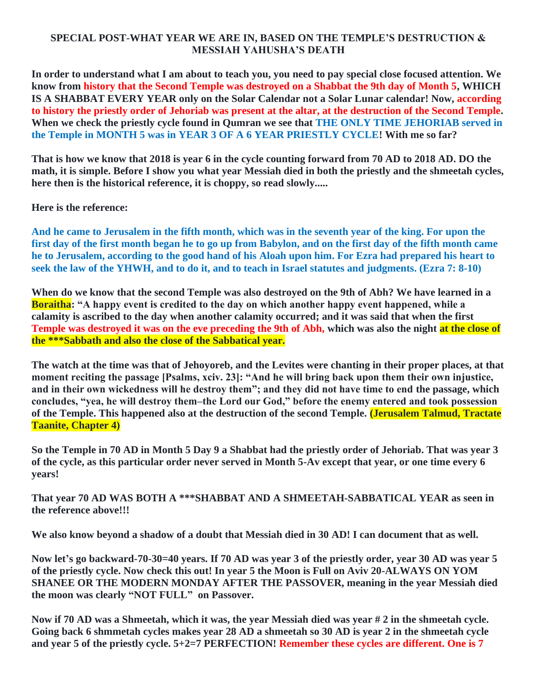## **SPECIAL POST-WHAT YEAR WE ARE IN, BASED ON THE TEMPLE'S DESTRUCTION & MESSIAH YAHUSHA'S DEATH**

**In order to understand what I am about to teach you, you need to pay special close focused attention. We know from history that the Second Temple was destroyed on a Shabbat the 9th day of Month 5, WHICH IS A SHABBAT EVERY YEAR only on the Solar Calendar not a Solar Lunar calendar! Now, according to history the priestly order of Jehoriab was present at the altar, at the destruction of the Second Temple. When we check the priestly cycle found in Qumran we see that THE ONLY TIME JEHORIAB served in the Temple in MONTH 5 was in YEAR 3 OF A 6 YEAR PRIESTLY CYCLE! With me so far?**

**That is how we know that 2018 is year 6 in the cycle counting forward from 70 AD to 2018 AD. DO the math, it is simple. Before I show you what year Messiah died in both the priestly and the shmeetah cycles, here then is the historical reference, it is choppy, so read slowly.....**

**Here is the reference:**

**And he came to Jerusalem in the fifth month, which was in the seventh year of the king. For upon the first day of the first month began he to go up from Babylon, and on the first day of the fifth month came he to Jerusalem, according to the good hand of his Aloah upon him. For Ezra had prepared his heart to seek the law of the YHWH, and to do it, and to teach in Israel statutes and judgments. (Ezra 7: 8-10)**

**When do we know that the second Temple was also destroyed on the 9th of Abh? We have learned in a Boraitha: "A happy event is credited to the day on which another happy event happened, while a calamity is ascribed to the day when another calamity occurred; and it was said that when the first Temple was destroyed it was on the eve preceding the 9th of Abh, which was also the night at the close of the \*\*\*Sabbath and also the close of the Sabbatical year.**

**The watch at the time was that of Jehoyoreb, and the Levites were chanting in their proper places, at that moment reciting the passage [Psalms, xciv. 23]: "And he will bring back upon them their own injustice, and in their own wickedness will he destroy them"; and they did not have time to end the passage, which concludes, "yea, he will destroy them–the Lord our God," before the enemy entered and took possession of the Temple. This happened also at the destruction of the second Temple. (Jerusalem Talmud, Tractate Taanite, Chapter 4)**

**So the Temple in 70 AD in Month 5 Day 9 a Shabbat had the priestly order of Jehoriab. That was year 3 of the cycle, as this particular order never served in Month 5-Av except that year, or one time every 6 years!** 

**That year 70 AD WAS BOTH A \*\*\*SHABBAT AND A SHMEETAH-SABBATICAL YEAR as seen in the reference above!!!**

**We also know beyond a shadow of a doubt that Messiah died in 30 AD! I can document that as well.**

**Now let's go backward-70-30=40 years. If 70 AD was year 3 of the priestly order, year 30 AD was year 5 of the priestly cycle. Now check this out! In year 5 the Moon is Full on Aviv 20-ALWAYS ON YOM SHANEE OR THE MODERN MONDAY AFTER THE PASSOVER, meaning in the year Messiah died the moon was clearly "NOT FULL" on Passover.** 

**Now if 70 AD was a Shmeetah, which it was, the year Messiah died was year # 2 in the shmeetah cycle. Going back 6 shmmetah cycles makes year 28 AD a shmeetah so 30 AD is year 2 in the shmeetah cycle and year 5 of the priestly cycle. 5+2=7 PERFECTION! Remember these cycles are different. One is 7**